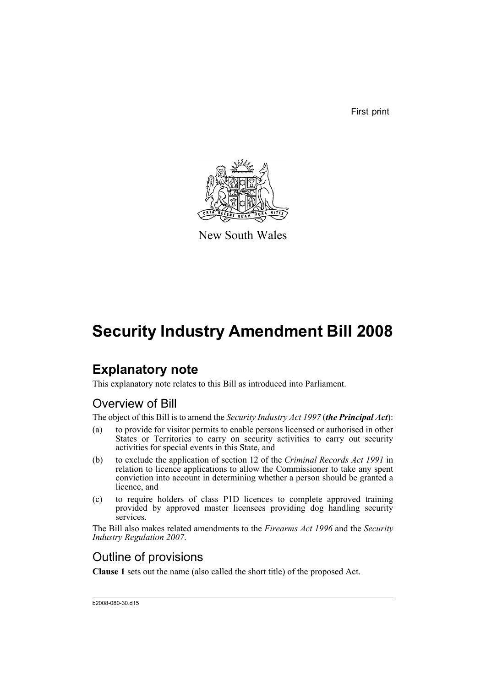First print



New South Wales

# **Security Industry Amendment Bill 2008**

# **Explanatory note**

This explanatory note relates to this Bill as introduced into Parliament.

# Overview of Bill

The object of this Bill is to amend the *Security Industry Act 1997* (*the Principal Act*):

- (a) to provide for visitor permits to enable persons licensed or authorised in other States or Territories to carry on security activities to carry out security activities for special events in this State, and
- (b) to exclude the application of section 12 of the *Criminal Records Act 1991* in relation to licence applications to allow the Commissioner to take any spent conviction into account in determining whether a person should be granted a licence, and
- (c) to require holders of class P1D licences to complete approved training provided by approved master licensees providing dog handling security services.

The Bill also makes related amendments to the *Firearms Act 1996* and the *Security Industry Regulation 2007*.

# Outline of provisions

**Clause 1** sets out the name (also called the short title) of the proposed Act.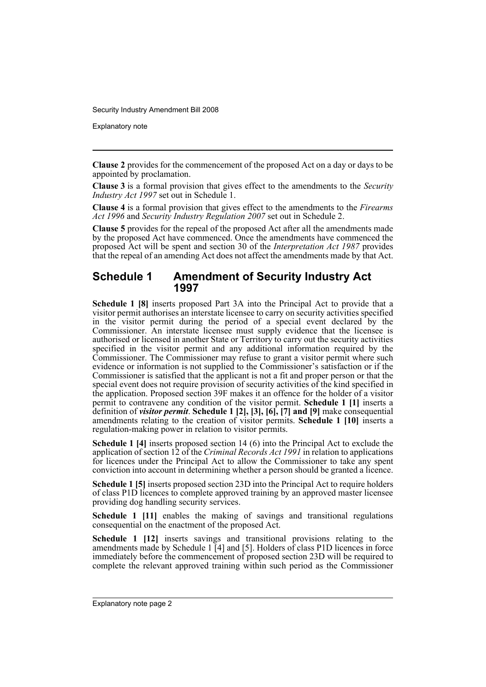Explanatory note

**Clause 2** provides for the commencement of the proposed Act on a day or days to be appointed by proclamation.

**Clause 3** is a formal provision that gives effect to the amendments to the *Security Industry Act 1997* set out in Schedule 1.

**Clause 4** is a formal provision that gives effect to the amendments to the *Firearms Act 1996* and *Security Industry Regulation 2007* set out in Schedule 2.

**Clause 5** provides for the repeal of the proposed Act after all the amendments made by the proposed Act have commenced. Once the amendments have commenced the proposed Act will be spent and section 30 of the *Interpretation Act 1987* provides that the repeal of an amending Act does not affect the amendments made by that Act.

### **Schedule 1 Amendment of Security Industry Act 1997**

**Schedule 1 [8]** inserts proposed Part 3A into the Principal Act to provide that a visitor permit authorises an interstate licensee to carry on security activities specified in the visitor permit during the period of a special event declared by the Commissioner. An interstate licensee must supply evidence that the licensee is authorised or licensed in another State or Territory to carry out the security activities specified in the visitor permit and any additional information required by the Commissioner. The Commissioner may refuse to grant a visitor permit where such evidence or information is not supplied to the Commissioner's satisfaction or if the Commissioner is satisfied that the applicant is not a fit and proper person or that the special event does not require provision of security activities of the kind specified in the application. Proposed section 39F makes it an offence for the holder of a visitor permit to contravene any condition of the visitor permit. **Schedule 1 [1]** inserts a definition of *visitor permit*. **Schedule 1 [2], [3], [6], [7] and [9]** make consequential amendments relating to the creation of visitor permits. **Schedule 1 [10]** inserts a regulation-making power in relation to visitor permits.

**Schedule 1 [4]** inserts proposed section 14 (6) into the Principal Act to exclude the application of section 12 of the *Criminal Records Act 1991* in relation to applications for licences under the Principal Act to allow the Commissioner to take any spent conviction into account in determining whether a person should be granted a licence.

**Schedule 1 [5]** inserts proposed section 23D into the Principal Act to require holders of class P1D licences to complete approved training by an approved master licensee providing dog handling security services.

**Schedule 1 [11]** enables the making of savings and transitional regulations consequential on the enactment of the proposed Act.

**Schedule 1 [12]** inserts savings and transitional provisions relating to the amendments made by Schedule  $1$  [4] and [5]. Holders of class P1D licences in force immediately before the commencement of proposed section 23D will be required to complete the relevant approved training within such period as the Commissioner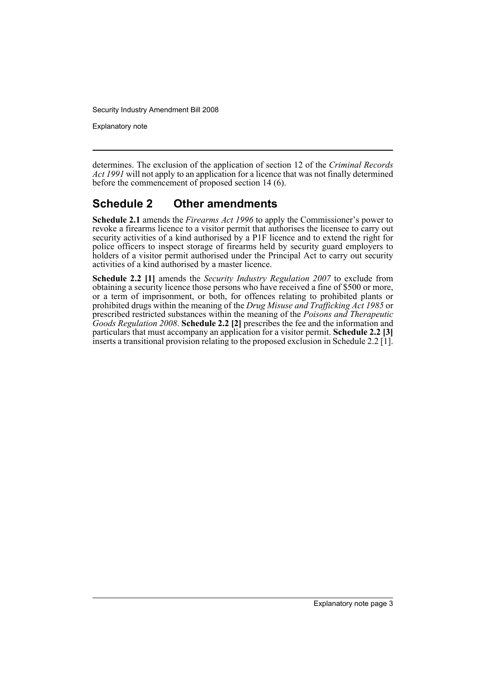Explanatory note

determines. The exclusion of the application of section 12 of the *Criminal Records Act 1991* will not apply to an application for a licence that was not finally determined before the commencement of proposed section 14 (6).

## **Schedule 2 Other amendments**

**Schedule 2.1** amends the *Firearms Act 1996* to apply the Commissioner's power to revoke a firearms licence to a visitor permit that authorises the licensee to carry out security activities of a kind authorised by a P1F licence and to extend the right for police officers to inspect storage of firearms held by security guard employers to holders of a visitor permit authorised under the Principal Act to carry out security activities of a kind authorised by a master licence.

**Schedule 2.2 [1]** amends the *Security Industry Regulation 2007* to exclude from obtaining a security licence those persons who have received a fine of \$500 or more, or a term of imprisonment, or both, for offences relating to prohibited plants or prohibited drugs within the meaning of the *Drug Misuse and Trafficking Act 1985* or prescribed restricted substances within the meaning of the *Poisons and Therapeutic Goods Regulation 2008*. **Schedule 2.2 [2]** prescribes the fee and the information and particulars that must accompany an application for a visitor permit. **Schedule 2.2 [3]** inserts a transitional provision relating to the proposed exclusion in Schedule 2.2 [1].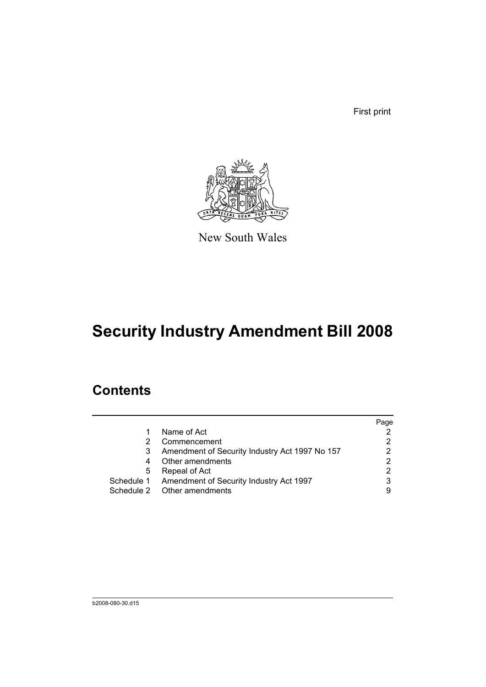First print



New South Wales

# **Security Industry Amendment Bill 2008**

# **Contents**

|   |                                                    | Page |
|---|----------------------------------------------------|------|
|   | Name of Act                                        |      |
| 2 | Commencement                                       |      |
| 3 | Amendment of Security Industry Act 1997 No 157     | 2    |
| 4 | Other amendments                                   |      |
| 5 | Repeal of Act                                      |      |
|   | Schedule 1 Amendment of Security Industry Act 1997 | 3    |
|   | Schedule 2 Other amendments                        |      |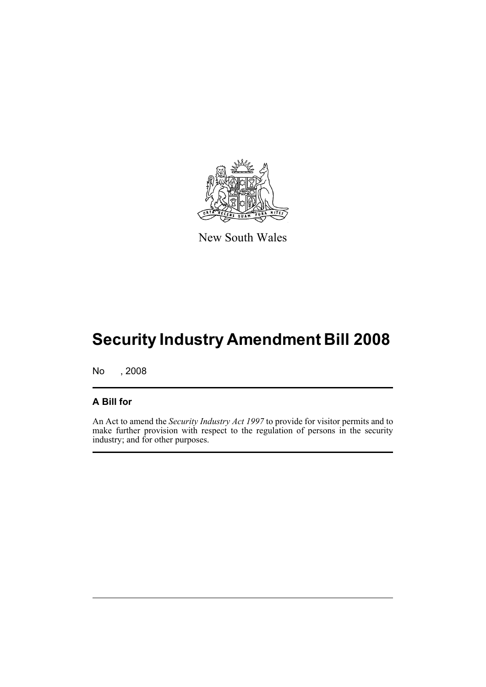

New South Wales

# **Security Industry Amendment Bill 2008**

No , 2008

### **A Bill for**

An Act to amend the *Security Industry Act 1997* to provide for visitor permits and to make further provision with respect to the regulation of persons in the security industry; and for other purposes.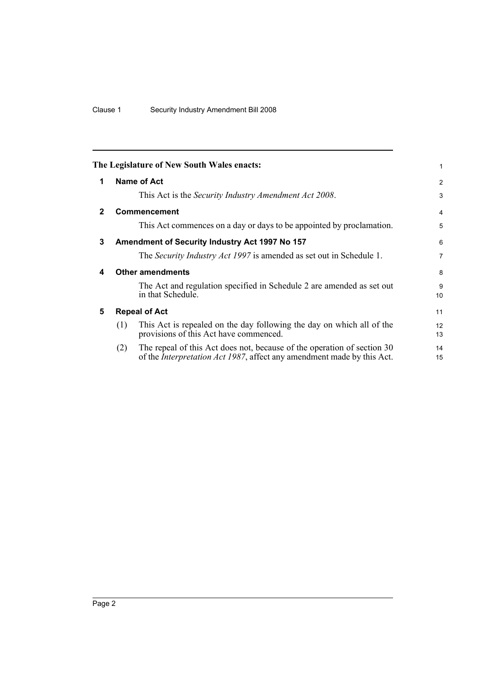<span id="page-7-4"></span><span id="page-7-3"></span><span id="page-7-2"></span><span id="page-7-1"></span><span id="page-7-0"></span>

|              |     | The Legislature of New South Wales enacts:                                                                                                                | 1                     |
|--------------|-----|-----------------------------------------------------------------------------------------------------------------------------------------------------------|-----------------------|
| 1            |     | <b>Name of Act</b>                                                                                                                                        | 2                     |
|              |     | This Act is the Security Industry Amendment Act 2008.                                                                                                     | 3                     |
| $\mathbf{2}$ |     | Commencement                                                                                                                                              | $\overline{4}$        |
|              |     | This Act commences on a day or days to be appointed by proclamation.                                                                                      | 5                     |
| 3            |     | Amendment of Security Industry Act 1997 No 157                                                                                                            | 6                     |
|              |     | The Security Industry Act 1997 is amended as set out in Schedule 1.                                                                                       | $\overline{7}$        |
| 4            |     | <b>Other amendments</b>                                                                                                                                   | 8                     |
|              |     | The Act and regulation specified in Schedule 2 are amended as set out<br>in that Schedule.                                                                | 9<br>10               |
| 5            |     | <b>Repeal of Act</b>                                                                                                                                      | 11                    |
|              | (1) | This Act is repealed on the day following the day on which all of the<br>provisions of this Act have commenced.                                           | 12 <sup>2</sup><br>13 |
|              | (2) | The repeal of this Act does not, because of the operation of section 30<br>of the <i>Interpretation Act 1987</i> , affect any amendment made by this Act. | 14<br>15              |
|              |     |                                                                                                                                                           |                       |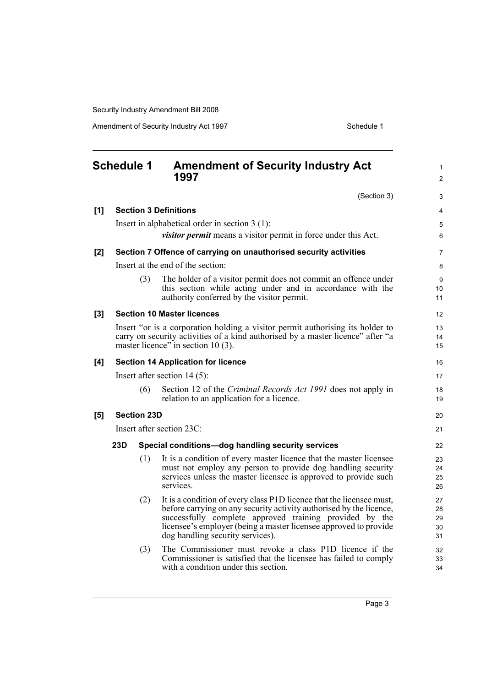Amendment of Security Industry Act 1997 **Schedule 1** Schedule 1

<span id="page-8-0"></span>

|     |     | <b>Amendment of Security Industry Act</b><br>1997                                                                                                                           | $\mathbf{1}$<br>$\overline{2}$                                                                                                                                                                                                                                                                                                                                                                                                                                                                                                                                                                                                                                                                                                                                                                                                                                                                                                                                                                                                                                                 |
|-----|-----|-----------------------------------------------------------------------------------------------------------------------------------------------------------------------------|--------------------------------------------------------------------------------------------------------------------------------------------------------------------------------------------------------------------------------------------------------------------------------------------------------------------------------------------------------------------------------------------------------------------------------------------------------------------------------------------------------------------------------------------------------------------------------------------------------------------------------------------------------------------------------------------------------------------------------------------------------------------------------------------------------------------------------------------------------------------------------------------------------------------------------------------------------------------------------------------------------------------------------------------------------------------------------|
|     |     | (Section 3)                                                                                                                                                                 | 3                                                                                                                                                                                                                                                                                                                                                                                                                                                                                                                                                                                                                                                                                                                                                                                                                                                                                                                                                                                                                                                                              |
|     |     |                                                                                                                                                                             | 4                                                                                                                                                                                                                                                                                                                                                                                                                                                                                                                                                                                                                                                                                                                                                                                                                                                                                                                                                                                                                                                                              |
|     |     |                                                                                                                                                                             | 5                                                                                                                                                                                                                                                                                                                                                                                                                                                                                                                                                                                                                                                                                                                                                                                                                                                                                                                                                                                                                                                                              |
|     |     | visitor permit means a visitor permit in force under this Act.                                                                                                              | 6                                                                                                                                                                                                                                                                                                                                                                                                                                                                                                                                                                                                                                                                                                                                                                                                                                                                                                                                                                                                                                                                              |
|     |     |                                                                                                                                                                             | 7                                                                                                                                                                                                                                                                                                                                                                                                                                                                                                                                                                                                                                                                                                                                                                                                                                                                                                                                                                                                                                                                              |
|     |     |                                                                                                                                                                             | 8                                                                                                                                                                                                                                                                                                                                                                                                                                                                                                                                                                                                                                                                                                                                                                                                                                                                                                                                                                                                                                                                              |
|     | (3) | The holder of a visitor permit does not commit an offence under<br>this section while acting under and in accordance with the<br>authority conferred by the visitor permit. | 9<br>10<br>11                                                                                                                                                                                                                                                                                                                                                                                                                                                                                                                                                                                                                                                                                                                                                                                                                                                                                                                                                                                                                                                                  |
|     |     |                                                                                                                                                                             | 12                                                                                                                                                                                                                                                                                                                                                                                                                                                                                                                                                                                                                                                                                                                                                                                                                                                                                                                                                                                                                                                                             |
|     |     |                                                                                                                                                                             | 13                                                                                                                                                                                                                                                                                                                                                                                                                                                                                                                                                                                                                                                                                                                                                                                                                                                                                                                                                                                                                                                                             |
|     |     |                                                                                                                                                                             | 14<br>15                                                                                                                                                                                                                                                                                                                                                                                                                                                                                                                                                                                                                                                                                                                                                                                                                                                                                                                                                                                                                                                                       |
|     |     |                                                                                                                                                                             |                                                                                                                                                                                                                                                                                                                                                                                                                                                                                                                                                                                                                                                                                                                                                                                                                                                                                                                                                                                                                                                                                |
|     |     |                                                                                                                                                                             | 16                                                                                                                                                                                                                                                                                                                                                                                                                                                                                                                                                                                                                                                                                                                                                                                                                                                                                                                                                                                                                                                                             |
|     |     |                                                                                                                                                                             | 17                                                                                                                                                                                                                                                                                                                                                                                                                                                                                                                                                                                                                                                                                                                                                                                                                                                                                                                                                                                                                                                                             |
|     |     | relation to an application for a licence.                                                                                                                                   | 18<br>19                                                                                                                                                                                                                                                                                                                                                                                                                                                                                                                                                                                                                                                                                                                                                                                                                                                                                                                                                                                                                                                                       |
|     |     |                                                                                                                                                                             | 20                                                                                                                                                                                                                                                                                                                                                                                                                                                                                                                                                                                                                                                                                                                                                                                                                                                                                                                                                                                                                                                                             |
|     |     |                                                                                                                                                                             | 21                                                                                                                                                                                                                                                                                                                                                                                                                                                                                                                                                                                                                                                                                                                                                                                                                                                                                                                                                                                                                                                                             |
| 23D |     |                                                                                                                                                                             | 22                                                                                                                                                                                                                                                                                                                                                                                                                                                                                                                                                                                                                                                                                                                                                                                                                                                                                                                                                                                                                                                                             |
|     | (1) | It is a condition of every master licence that the master licensee                                                                                                          | 23                                                                                                                                                                                                                                                                                                                                                                                                                                                                                                                                                                                                                                                                                                                                                                                                                                                                                                                                                                                                                                                                             |
|     |     |                                                                                                                                                                             | 24                                                                                                                                                                                                                                                                                                                                                                                                                                                                                                                                                                                                                                                                                                                                                                                                                                                                                                                                                                                                                                                                             |
|     |     | services.                                                                                                                                                                   | 25<br>26                                                                                                                                                                                                                                                                                                                                                                                                                                                                                                                                                                                                                                                                                                                                                                                                                                                                                                                                                                                                                                                                       |
|     | (2) | It is a condition of every class P1D licence that the licensee must,                                                                                                        | 27                                                                                                                                                                                                                                                                                                                                                                                                                                                                                                                                                                                                                                                                                                                                                                                                                                                                                                                                                                                                                                                                             |
|     |     | before carrying on any security activity authorised by the licence,                                                                                                         | 28                                                                                                                                                                                                                                                                                                                                                                                                                                                                                                                                                                                                                                                                                                                                                                                                                                                                                                                                                                                                                                                                             |
|     |     |                                                                                                                                                                             | 29<br>30                                                                                                                                                                                                                                                                                                                                                                                                                                                                                                                                                                                                                                                                                                                                                                                                                                                                                                                                                                                                                                                                       |
|     |     | dog handling security services).                                                                                                                                            | 31                                                                                                                                                                                                                                                                                                                                                                                                                                                                                                                                                                                                                                                                                                                                                                                                                                                                                                                                                                                                                                                                             |
|     | (3) | The Commissioner must revoke a class P1D licence if the                                                                                                                     | 32                                                                                                                                                                                                                                                                                                                                                                                                                                                                                                                                                                                                                                                                                                                                                                                                                                                                                                                                                                                                                                                                             |
|     |     |                                                                                                                                                                             | 33<br>34                                                                                                                                                                                                                                                                                                                                                                                                                                                                                                                                                                                                                                                                                                                                                                                                                                                                                                                                                                                                                                                                       |
|     |     | <b>Schedule 1</b><br>(6)                                                                                                                                                    | <b>Section 3 Definitions</b><br>Insert in alphabetical order in section $3(1)$ :<br>Section 7 Offence of carrying on unauthorised security activities<br>Insert at the end of the section:<br><b>Section 10 Master licences</b><br>Insert "or is a corporation holding a visitor permit authorising its holder to<br>carry on security activities of a kind authorised by a master licence" after "a<br>master licence" in section 10(3).<br><b>Section 14 Application for licence</b><br>Insert after section $14(5)$ :<br>Section 12 of the Criminal Records Act 1991 does not apply in<br><b>Section 23D</b><br>Insert after section 23C:<br>Special conditions-dog handling security services<br>must not employ any person to provide dog handling security<br>services unless the master licensee is approved to provide such<br>successfully complete approved training provided by the<br>licensee's employer (being a master licensee approved to provide<br>Commissioner is satisfied that the licensee has failed to comply<br>with a condition under this section. |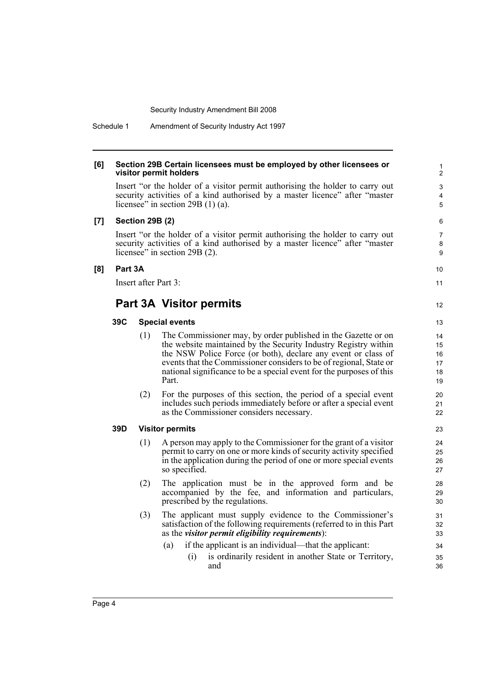#### **[6] Section 29B Certain licensees must be employed by other licensees or visitor permit holders**

Insert "or the holder of a visitor permit authorising the holder to carry out security activities of a kind authorised by a master licence" after "master licensee" in section 29B (1) (a).

#### **[7] Section 29B (2)**

Insert "or the holder of a visitor permit authorising the holder to carry out security activities of a kind authorised by a master licence" after "master licensee" in section 29B (2).

#### **[8] Part 3A**

Insert after Part 3:

### **Part 3A Visitor permits**

#### **39C Special events**

- (1) The Commissioner may, by order published in the Gazette or on the website maintained by the Security Industry Registry within the NSW Police Force (or both), declare any event or class of events that the Commissioner considers to be of regional, State or national significance to be a special event for the purposes of this Part.
- (2) For the purposes of this section, the period of a special event includes such periods immediately before or after a special event as the Commissioner considers necessary.

#### **39D Visitor permits**

- (1) A person may apply to the Commissioner for the grant of a visitor permit to carry on one or more kinds of security activity specified in the application during the period of one or more special events so specified.
- (2) The application must be in the approved form and be accompanied by the fee, and information and particulars, prescribed by the regulations.
- (3) The applicant must supply evidence to the Commissioner's satisfaction of the following requirements (referred to in this Part as the *visitor permit eligibility requirements*):
	- (a) if the applicant is an individual—that the applicant:
		- (i) is ordinarily resident in another State or Territory, and

10 11

12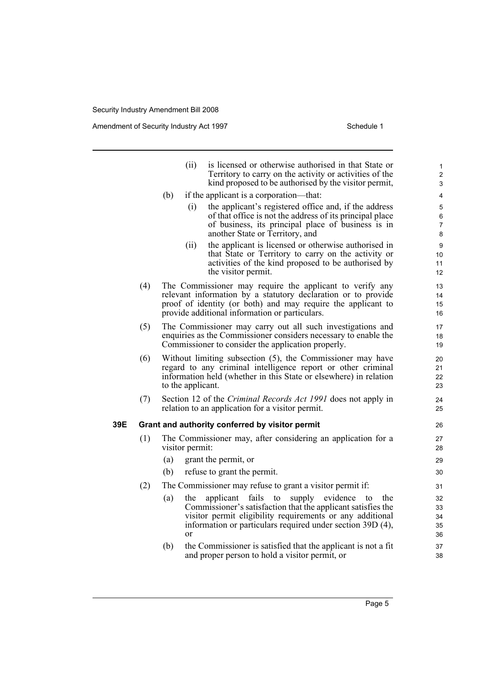Amendment of Security Industry Act 1997 **Schedule 1** Schedule 1

|     |     |     | (ii)                 | is licensed or otherwise authorised in that State or<br>Territory to carry on the activity or activities of the<br>kind proposed to be authorised by the visitor permit,                                                                      | $\mathbf{1}$<br>$\overline{2}$<br>3 |
|-----|-----|-----|----------------------|-----------------------------------------------------------------------------------------------------------------------------------------------------------------------------------------------------------------------------------------------|-------------------------------------|
|     |     | (b) |                      | if the applicant is a corporation—that:                                                                                                                                                                                                       | 4                                   |
|     |     |     | (i)                  | the applicant's registered office and, if the address<br>of that office is not the address of its principal place<br>of business, its principal place of business is in<br>another State or Territory, and                                    | $\mathbf 5$<br>6<br>7<br>8          |
|     |     |     | (ii)                 | the applicant is licensed or otherwise authorised in<br>that State or Territory to carry on the activity or<br>activities of the kind proposed to be authorised by<br>the visitor permit.                                                     | 9<br>10<br>11<br>12                 |
|     | (4) |     |                      | The Commissioner may require the applicant to verify any<br>relevant information by a statutory declaration or to provide<br>proof of identity (or both) and may require the applicant to<br>provide additional information or particulars.   | 13<br>14<br>15<br>16                |
|     | (5) |     |                      | The Commissioner may carry out all such investigations and<br>enquiries as the Commissioner considers necessary to enable the<br>Commissioner to consider the application properly.                                                           | 17<br>18<br>19                      |
|     | (6) |     | to the applicant.    | Without limiting subsection (5), the Commissioner may have<br>regard to any criminal intelligence report or other criminal<br>information held (whether in this State or elsewhere) in relation                                               | 20<br>21<br>22<br>23                |
|     | (7) |     |                      | Section 12 of the Criminal Records Act 1991 does not apply in<br>relation to an application for a visitor permit.                                                                                                                             | 24<br>25                            |
| 39E |     |     |                      | Grant and authority conferred by visitor permit                                                                                                                                                                                               | 26                                  |
|     | (1) |     | visitor permit:      | The Commissioner may, after considering an application for a                                                                                                                                                                                  | 27<br>28                            |
|     |     | (a) |                      | grant the permit, or                                                                                                                                                                                                                          | 29                                  |
|     |     | (b) |                      | refuse to grant the permit.                                                                                                                                                                                                                   | 30                                  |
|     | (2) |     |                      | The Commissioner may refuse to grant a visitor permit if:                                                                                                                                                                                     | 31                                  |
|     |     | (a) | the<br><sub>or</sub> | applicant fails to<br>supply<br>evidence to<br>the<br>Commissioner's satisfaction that the applicant satisfies the<br>visitor permit eligibility requirements or any additional<br>information or particulars required under section 39D (4), | 32<br>33<br>34<br>35<br>36          |
|     |     | (b) |                      | the Commissioner is satisfied that the applicant is not a fit<br>and proper person to hold a visitor permit, or                                                                                                                               | 37<br>38                            |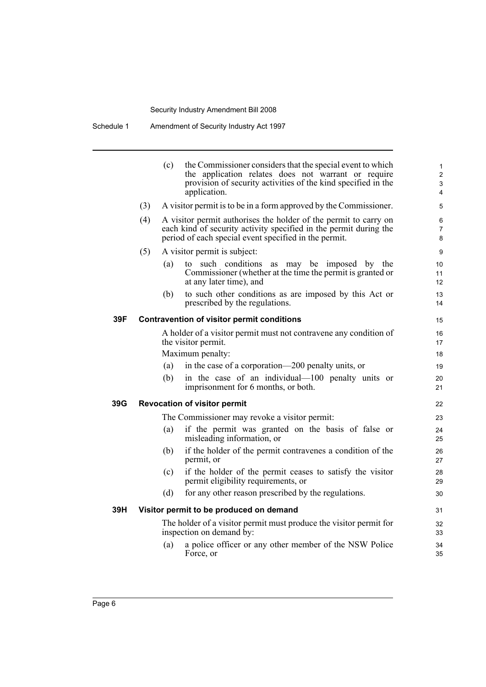|     |                                                                                                | (c) | the Commissioner considers that the special event to which<br>the application relates does not warrant or require<br>provision of security activities of the kind specified in the<br>application. | 1<br>$\overline{2}$<br>3<br>4 |  |
|-----|------------------------------------------------------------------------------------------------|-----|----------------------------------------------------------------------------------------------------------------------------------------------------------------------------------------------------|-------------------------------|--|
|     | (3)                                                                                            |     | A visitor permit is to be in a form approved by the Commissioner.                                                                                                                                  | 5                             |  |
|     | (4)                                                                                            |     | A visitor permit authorises the holder of the permit to carry on<br>each kind of security activity specified in the permit during the<br>period of each special event specified in the permit.     | 6<br>7<br>8                   |  |
|     | (5)                                                                                            |     | A visitor permit is subject:                                                                                                                                                                       | 9                             |  |
|     |                                                                                                | (a) | to such conditions<br>as may be imposed by the<br>Commissioner (whether at the time the permit is granted or<br>at any later time), and                                                            | 10<br>11<br>12                |  |
|     |                                                                                                | (b) | to such other conditions as are imposed by this Act or<br>prescribed by the regulations.                                                                                                           | 13<br>14                      |  |
| 39F |                                                                                                |     | <b>Contravention of visitor permit conditions</b>                                                                                                                                                  | 15                            |  |
|     |                                                                                                |     | A holder of a visitor permit must not contravene any condition of<br>the visitor permit.                                                                                                           | 16<br>17                      |  |
|     |                                                                                                |     | Maximum penalty:                                                                                                                                                                                   | 18                            |  |
|     |                                                                                                | (a) | in the case of a corporation—200 penalty units, or                                                                                                                                                 | 19                            |  |
|     |                                                                                                | (b) | in the case of an individual—100 penalty units or<br>imprisonment for 6 months, or both.                                                                                                           | 20<br>21                      |  |
| 39G |                                                                                                |     | <b>Revocation of visitor permit</b>                                                                                                                                                                | 22                            |  |
|     |                                                                                                |     | The Commissioner may revoke a visitor permit:                                                                                                                                                      | 23                            |  |
|     |                                                                                                | (a) | if the permit was granted on the basis of false or<br>misleading information, or                                                                                                                   | 24<br>25                      |  |
|     |                                                                                                | (b) | if the holder of the permit contravenes a condition of the<br>permit, or                                                                                                                           | 26<br>27                      |  |
|     |                                                                                                | (c) | if the holder of the permit ceases to satisfy the visitor<br>permit eligibility requirements, or                                                                                                   | 28<br>29                      |  |
|     |                                                                                                | (d) | for any other reason prescribed by the regulations.                                                                                                                                                | 30                            |  |
| 39H |                                                                                                |     | Visitor permit to be produced on demand                                                                                                                                                            | 31                            |  |
|     | The holder of a visitor permit must produce the visitor permit for<br>inspection on demand by: |     |                                                                                                                                                                                                    |                               |  |
|     |                                                                                                | (a) | a police officer or any other member of the NSW Police<br>Force, or                                                                                                                                | 34<br>35                      |  |
|     |                                                                                                |     |                                                                                                                                                                                                    |                               |  |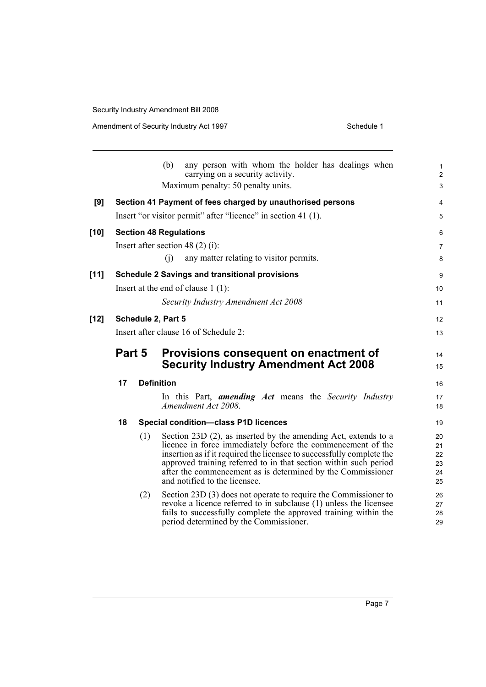Amendment of Security Industry Act 1997 **Schedule 1** Schedule 1

|        |        |     | (b)<br>any person with whom the holder has dealings when<br>carrying on a security activity.                                         | $\mathbf{1}$<br>$\overline{2}$ |
|--------|--------|-----|--------------------------------------------------------------------------------------------------------------------------------------|--------------------------------|
|        |        |     | Maximum penalty: 50 penalty units.                                                                                                   | $\mathfrak{S}$                 |
| [9]    |        |     | Section 41 Payment of fees charged by unauthorised persons                                                                           | 4                              |
|        |        |     | Insert "or visitor permit" after "licence" in section 41 (1).                                                                        | 5                              |
| $[10]$ |        |     | <b>Section 48 Regulations</b>                                                                                                        | 6                              |
|        |        |     | Insert after section 48 $(2)$ (i):                                                                                                   | 7                              |
|        |        |     | (i)<br>any matter relating to visitor permits.                                                                                       | 8                              |
| $[11]$ |        |     | <b>Schedule 2 Savings and transitional provisions</b>                                                                                | 9                              |
|        |        |     | Insert at the end of clause $1(1)$ :                                                                                                 | 10                             |
|        |        |     | Security Industry Amendment Act 2008                                                                                                 | 11                             |
| $[12]$ |        |     | Schedule 2, Part 5                                                                                                                   | 12                             |
|        |        |     | Insert after clause 16 of Schedule 2:                                                                                                | 13                             |
|        | Part 5 |     | Provisions consequent on enactment of                                                                                                | 14                             |
|        |        |     | <b>Security Industry Amendment Act 2008</b>                                                                                          | 15                             |
|        | 17     |     | <b>Definition</b>                                                                                                                    | 16                             |
|        |        |     | In this Part, <b>amending Act</b> means the Security Industry                                                                        | 17                             |
|        |        |     | Amendment Act 2008.                                                                                                                  | 18                             |
|        | 18     |     | <b>Special condition-class P1D licences</b>                                                                                          | 19                             |
|        |        | (1) | Section 23D (2), as inserted by the amending Act, extends to a                                                                       | 20                             |
|        |        |     | licence in force immediately before the commencement of the<br>insertion as if it required the licensee to successfully complete the | 21<br>22                       |
|        |        |     | approved training referred to in that section within such period                                                                     | 23                             |
|        |        |     | after the commencement as is determined by the Commissioner                                                                          | 24                             |
|        |        |     | and notified to the licensee.                                                                                                        | 25                             |
|        |        | (2) | Section 23D (3) does not operate to require the Commissioner to                                                                      | 26                             |
|        |        |     | revoke a licence referred to in subclause (1) unless the licensee                                                                    | 27                             |
|        |        |     | fails to successfully complete the approved training within the<br>period determined by the Commissioner.                            | 28<br>29                       |
|        |        |     |                                                                                                                                      |                                |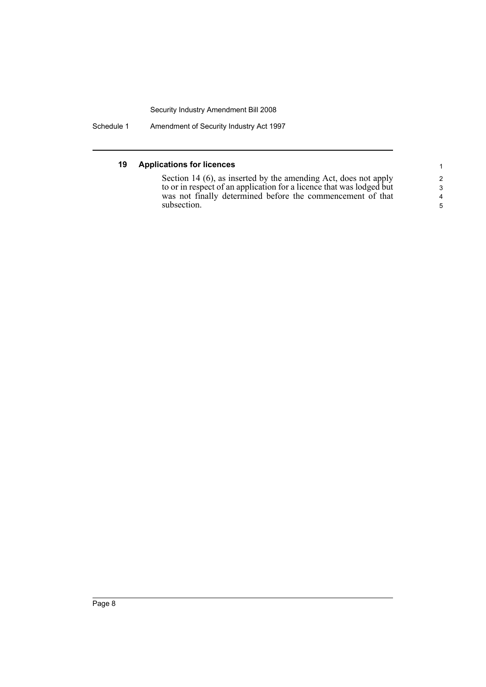Schedule 1 Amendment of Security Industry Act 1997

#### **19 Applications for licences**

Section 14 (6), as inserted by the amending Act, does not apply to or in respect of an application for a licence that was lodged but was not finally determined before the commencement of that subsection.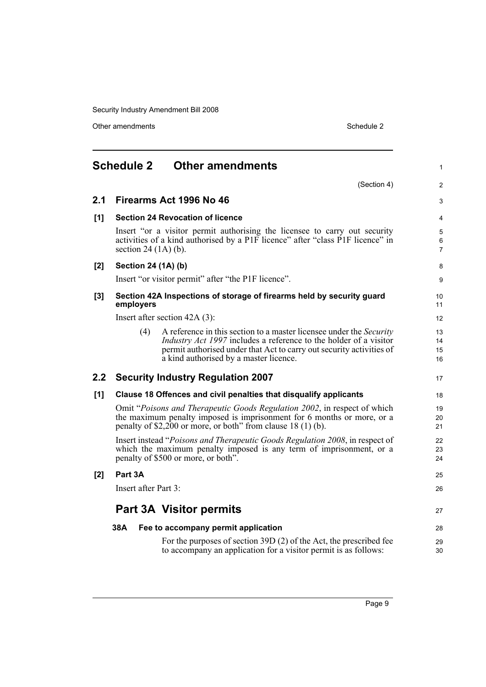Other amendments Schedule 2

<span id="page-14-0"></span>

|       | <b>Schedule 2</b>      | <b>Other amendments</b>                                                                                                                                                                                                                                                  | $\mathbf{1}$             |
|-------|------------------------|--------------------------------------------------------------------------------------------------------------------------------------------------------------------------------------------------------------------------------------------------------------------------|--------------------------|
|       |                        | (Section 4)                                                                                                                                                                                                                                                              | $\overline{2}$           |
| 2.1   |                        | Firearms Act 1996 No 46                                                                                                                                                                                                                                                  | 3                        |
| [1]   |                        | <b>Section 24 Revocation of licence</b>                                                                                                                                                                                                                                  | 4                        |
|       | section 24 $(1A)$ (b). | Insert "or a visitor permit authorising the licensee to carry out security<br>activities of a kind authorised by a P1F licence" after "class P1F licence" in                                                                                                             | 5<br>6<br>$\overline{7}$ |
| [2]   | Section 24 (1A) (b)    |                                                                                                                                                                                                                                                                          | 8                        |
|       |                        | Insert "or visitor permit" after "the P1F licence".                                                                                                                                                                                                                      | 9                        |
| $[3]$ | employers              | Section 42A Inspections of storage of firearms held by security guard                                                                                                                                                                                                    | 10 <sup>°</sup><br>11    |
|       |                        | Insert after section $42A(3)$ :                                                                                                                                                                                                                                          | 12                       |
|       | (4)                    | A reference in this section to a master licensee under the <i>Security</i><br><i>Industry Act 1997</i> includes a reference to the holder of a visitor<br>permit authorised under that Act to carry out security activities of<br>a kind authorised by a master licence. | 13<br>14<br>15<br>16     |
| 2.2   |                        | <b>Security Industry Regulation 2007</b>                                                                                                                                                                                                                                 | 17                       |
| [1]   |                        | Clause 18 Offences and civil penalties that disqualify applicants                                                                                                                                                                                                        | 18                       |
|       |                        | Omit "Poisons and Therapeutic Goods Regulation 2002, in respect of which<br>the maximum penalty imposed is imprisonment for 6 months or more, or a<br>penalty of \$2,200 or more, or both" from clause $18(1)(b)$ .                                                      | 19<br>20<br>21           |
|       |                        | Insert instead "Poisons and Therapeutic Goods Regulation 2008, in respect of<br>which the maximum penalty imposed is any term of imprisonment, or a<br>penalty of \$500 or more, or both".                                                                               | 22<br>23<br>24           |
| [2]   | Part 3A                |                                                                                                                                                                                                                                                                          | 25                       |
|       | Insert after Part 3:   |                                                                                                                                                                                                                                                                          | 26                       |
|       |                        | <b>Part 3A Visitor permits</b>                                                                                                                                                                                                                                           | 27                       |
|       | 38A                    | Fee to accompany permit application                                                                                                                                                                                                                                      | 28                       |
|       |                        | For the purposes of section 39D (2) of the Act, the prescribed fee<br>to accompany an application for a visitor permit is as follows:                                                                                                                                    | 29<br>30                 |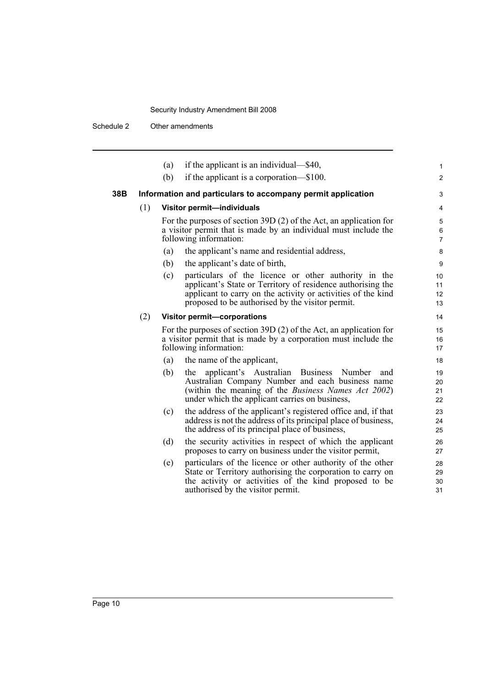Schedule 2 Other amendments

|     |     | (a) | if the applicant is an individual—\$40,                                                                                                                                                                                                 | 1                                 |
|-----|-----|-----|-----------------------------------------------------------------------------------------------------------------------------------------------------------------------------------------------------------------------------------------|-----------------------------------|
|     |     | (b) | if the applicant is a corporation—\$100.                                                                                                                                                                                                | 2                                 |
| 38B |     |     | Information and particulars to accompany permit application                                                                                                                                                                             | 3                                 |
|     | (1) |     | Visitor permit-individuals                                                                                                                                                                                                              | $\overline{4}$                    |
|     |     |     | For the purposes of section 39D $(2)$ of the Act, an application for<br>a visitor permit that is made by an individual must include the<br>following information:                                                                       | 5<br>6<br>$\overline{7}$          |
|     |     | (a) | the applicant's name and residential address,                                                                                                                                                                                           | 8                                 |
|     |     | (b) | the applicant's date of birth,                                                                                                                                                                                                          | 9                                 |
|     |     | (c) | particulars of the licence or other authority in the<br>applicant's State or Territory of residence authorising the<br>applicant to carry on the activity or activities of the kind<br>proposed to be authorised by the visitor permit. | 10<br>11<br>12 <sup>2</sup><br>13 |
|     | (2) |     | Visitor permit-corporations                                                                                                                                                                                                             | 14                                |
|     |     |     | For the purposes of section 39D $(2)$ of the Act, an application for<br>a visitor permit that is made by a corporation must include the<br>following information:                                                                       | 15<br>16<br>17                    |
|     |     | (a) | the name of the applicant,                                                                                                                                                                                                              | 18                                |
|     |     | (b) | applicant's Australian Business Number<br>the<br>and<br>Australian Company Number and each business name<br>(within the meaning of the <i>Business Names Act 2002</i> )<br>under which the applicant carries on business,               | 19<br>20<br>21<br>22              |
|     |     | (c) | the address of the applicant's registered office and, if that<br>address is not the address of its principal place of business,<br>the address of its principal place of business,                                                      | 23<br>24<br>25                    |
|     |     | (d) | the security activities in respect of which the applicant<br>proposes to carry on business under the visitor permit,                                                                                                                    | 26<br>27                          |
|     |     | (e) | particulars of the licence or other authority of the other<br>State or Territory authorising the corporation to carry on<br>the activity or activities of the kind proposed to be<br>authorised by the visitor permit.                  | 28<br>29<br>30<br>31              |
|     |     |     |                                                                                                                                                                                                                                         |                                   |